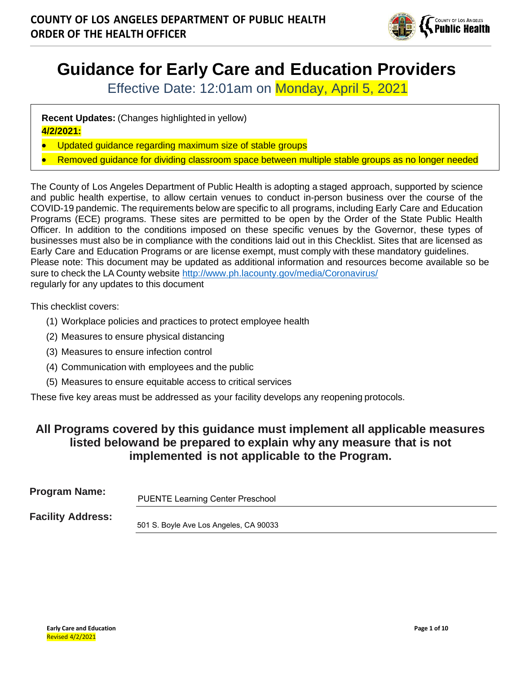

# **Guidance for Early Care and Education Providers**

Effective Date: 12:01am on Monday, April 5, 2021

**Recent Updates:** (Changes highlighted in yellow) **4/2/2021:**

- Updated guidance regarding maximum size of stable groups
- Removed guidance for dividing classroom space between multiple stable groups as no longer needed

The County of Los Angeles Department of Public Health is adopting a staged approach, supported by science and public health expertise, to allow certain venues to conduct in-person business over the course of the COVID-19 pandemic. The requirements below are specific to all programs, including Early Care and Education Programs (ECE) programs. These sites are permitted to be open by the Order of the State Public Health Officer. In addition to the conditions imposed on these specific venues by the Governor, these types of businesses must also be in compliance with the conditions laid out in this Checklist. Sites that are licensed as Early Care and Education Programs or are license exempt, must comply with these mandatory guidelines. Please note: This document may be updated as additional information and resources become available so be sure to check the LA County website <http://www.ph.lacounty.gov/media/Coronavirus/> regularly for any updates to this document

This checklist covers:

- (1) Workplace policies and practices to protect employee health
- (2) Measures to ensure physical distancing
- (3) Measures to ensure infection control
- (4) Communication with employees and the public
- (5) Measures to ensure equitable access to critical services

These five key areas must be addressed as your facility develops any reopening protocols.

# **All Programs covered by this guidance must implement all applicable measures listed belowand be prepared to explain why any measure that is not implemented is not applicable to the Program.**

| <b>Program Name:</b>     | <b>PUENTE Learning Center Preschool</b> |
|--------------------------|-----------------------------------------|
| <b>Facility Address:</b> | 501 S. Boyle Ave Los Angeles, CA 90033  |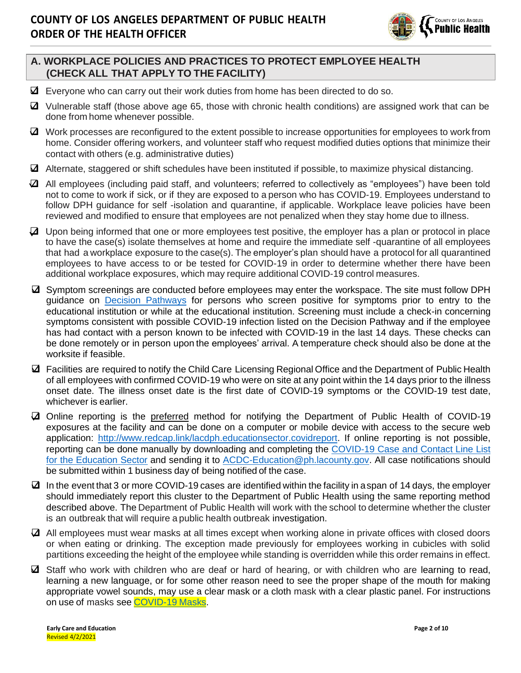

## **A. WORKPLACE POLICIES AND PRACTICES TO PROTECT EMPLOYEE HEALTH (CHECK ALL THAT APPLY TO THE FACILITY)**

- $\boxtimes$  Everyone who can carry out their work duties from home has been directed to do so.
- ❑ Vulnerable staff (those above age 65, those with chronic health conditions) are assigned work that can be done from home whenever possible.
- ❑ Work processes are reconfigured to the extent possible to increase opportunities for employees to work from home. Consider offering workers, and volunteer staff who request modified duties options that minimize their contact with others (e.g. administrative duties)
- ❑ Alternate, staggered or shift schedules have been instituted if possible, to maximize physical distancing.
- $\Box$  All employees (including paid staff, and volunteers; referred to collectively as "employees") have been told not to come to work if sick, or if they are exposed to a person who has COVID-19. Employees understand to follow DPH guidance for self -isolation and quarantine, if applicable. Workplace leave policies have been reviewed and modified to ensure that employees are not penalized when they stay home due to illness.
- ❑ Upon being informed that one or more employees test positive, the employer has a plan or protocol in place to have the case(s) isolate themselves at home and require the immediate self -quarantine of all employees that had a workplace exposure to the case(s). The employer's plan should have a protocol for all quarantined employees to have access to or be tested for COVID-19 in order to determine whether there have been additional workplace exposures, which may require additional COVID-19 control measures.
- ❑ Symptom screenings are conducted before employees may enter the workspace. The site must follow DPH guidance on [Decision Pathways](http://publichealth.lacounty.gov/media/Coronavirus/docs/education/ScreeningEducationSettings.pdf) for persons who screen positive for symptoms prior to entry to the educational institution or while at the educational institution. Screening must include a check-in concerning symptoms consistent with possible COVID-19 infection listed on the Decision Pathway and if the employee has had contact with a person known to be infected with COVID-19 in the last 14 days. These checks can be done remotely or in person upon the employees' arrival. A temperature check should also be done at the worksite if feasible.
- ❑ Facilities are required to notify the Child Care Licensing Regional Office and the Department of Public Health of all employees with confirmed COVID-19 who were on site at any point within the 14 days prior to the illness onset date. The illness onset date is the first date of COVID-19 symptoms or the COVID-19 test date, whichever is earlier.
- ❑ Online reporting is the preferred method for notifying the Department of Public Health of COVID-19 exposures at the facility and can be done on a computer or mobile device with access to the secure web application: [http://www.redcap.link/lacdph.educationsector.covidreport.](http://www.redcap.link/lacdph.educationsector.covidreport) If online reporting is not possible, reporting can be done manually by downloading and completing the [COVID-19 Case and Contact Line List](http://publichealth.lacounty.gov/acd/Diseases/EpiForms/COVID_OBlinelist_Education_Sector.xlsm) [for the Education Sector](http://publichealth.lacounty.gov/acd/Diseases/EpiForms/COVID_OBlinelist_Education_Sector.xlsm) and sending it to [ACDC-Education@ph.lacounty.gov.](mailto:ACDC-Education@ph.lacounty.gov) All case notifications should be submitted within 1 business day of being notified of the case.
- $\Box$  In the event that 3 or more COVID-19 cases are identified within the facility in aspan of 14 days, the employer should immediately report this cluster to the Department of Public Health using the same reporting method described above. The Department of Public Health will work with the school to determine whether the cluster is an outbreak that will require a public health outbreak investigation.
- ❑ All employees must wear masks at all times except when working alone in private offices with closed doors or when eating or drinking. The exception made previously for employees working in cubicles with solid partitions exceeding the height of the employee while standing is overridden while this order remains in effect.
- $\Delta$  Staff who work with children who are deaf or hard of hearing, or with children who are learning to read, learning a new language, or for some other reason need to see the proper shape of the mouth for making appropriate vowel sounds, may use a clear mask or a cloth mask with a clear plastic panel. For instructions on use of masks see [COVID-19](http://www.ph.lacounty.gov/masks) Masks.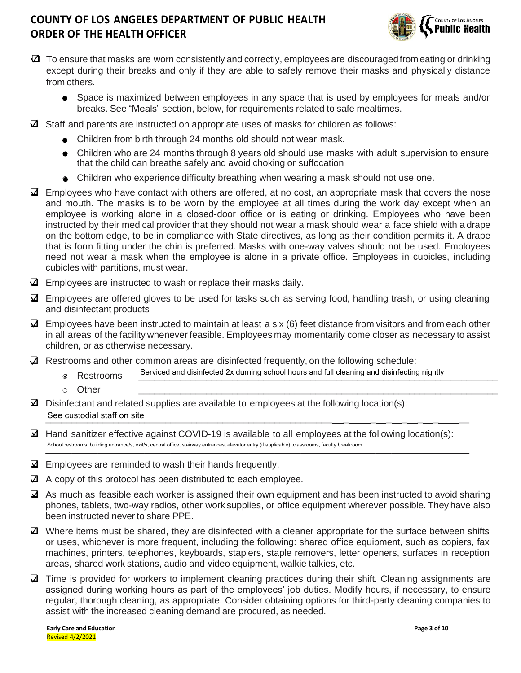

- $\Box$  To ensure that masks are worn consistently and correctly, employees are discouraged from eating or drinking except during their breaks and only if they are able to safely remove their masks and physically distance from others.
	- o Space is maximized between employees in any space that is used by employees for meals and/or breaks. See "Meals" section, below, for requirements related to safe mealtimes.
- $\boxtimes$  Staff and parents are instructed on appropriate uses of masks for children as follows:
	- Children from birth through 24 months old should not wear mask.
	- Children who are 24 months through 8 years old should use masks with adult supervision to ensure that the child can breathe safely and avoid choking or suffocation
	- Children who experience difficulty breathing when wearing a mask should not use one.
- ❑ Employees who have contact with others are offered, at no cost, an appropriate mask that covers the nose and mouth. The masks is to be worn by the employee at all times during the work day except when an employee is working alone in a closed-door office or is eating or drinking. Employees who have been instructed by their medical provider that they should not wear a mask should wear a face shield with a drape on the bottom edge, to be in compliance with State directives, as long as their condition permits it. A drape that is form fitting under the chin is preferred. Masks with one-way valves should not be used. Employees need not wear a mask when the employee is alone in a private office. Employees in cubicles, including cubicles with partitions, must wear.
- ❑ Employees are instructed to wash or replace their masks daily.
- ❑ Employees are offered gloves to be used for tasks such as serving food, handling trash, or using cleaning and disinfectant products
- $\Delta$  Employees have been instructed to maintain at least a six (6) feet distance from visitors and from each other in all areas of the facility whenever feasible. Employees may momentarily come closer as necessary to assist children, or as otherwise necessary.
- $\mathbf Z$  Restrooms and other common areas are disinfected frequently, on the following schedule:
	- or Restrooms Serviced and disinfected 2x durning school hours and full cleaning and disinfecting nightly
	- o Other \_\_\_\_\_\_\_\_\_\_\_\_\_\_\_\_\_\_\_\_\_\_\_\_\_\_\_\_\_\_\_\_\_\_\_\_\_\_\_\_\_\_\_\_\_\_\_\_\_\_\_\_\_\_\_\_\_\_\_\_\_\_\_\_\_\_\_\_\_
- $\boxtimes$  Disinfectant and related supplies are available to employees at the following location(s): \_\_\_\_\_\_\_\_\_\_\_\_\_\_\_\_\_\_\_\_\_\_\_\_\_\_\_\_\_\_\_\_\_\_\_\_\_\_\_\_\_\_\_\_\_\_\_\_\_\_\_\_\_\_\_ \_ \_ \_ \_ \_ \_ \_\_ See custodial staff on site
- $\boxtimes$  Hand sanitizer effective against COVID-19 is available to all employees at the following location(s): \_\_\_\_\_\_\_\_\_\_\_\_\_\_\_\_\_\_\_\_\_\_\_\_\_\_\_\_\_\_\_\_\_\_\_\_\_\_\_\_\_\_\_\_\_\_\_\_\_\_\_\_\_\_\_\_\_\_ \_ \_ \_ \_ \_ \_\_ School restrooms, building entrance/s, exit/s, central office, stairway entrances, elevator entry (if applicable) ,classrooms, faculty breakroom
- ❑ Employees are reminded to wash their hands frequently.
- ❑ A copy of this protocol has been distributed to each employee.
- ❑ As much as feasible each worker is assigned their own equipment and has been instructed to avoid sharing phones, tablets, two-way radios, other work supplies, or office equipment wherever possible. They have also been instructed never to share PPE.
- ❑ Where items must be shared, they are disinfected with a cleaner appropriate for the surface between shifts or uses, whichever is more frequent, including the following: shared office equipment, such as copiers, fax machines, printers, telephones, keyboards, staplers, staple removers, letter openers, surfaces in reception areas, shared work stations, audio and video equipment, walkie talkies, etc.
- ❑ Time is provided for workers to implement cleaning practices during their shift. Cleaning assignments are assigned during working hours as part of the employees' job duties. Modify hours, if necessary, to ensure regular, thorough cleaning, as appropriate. Consider obtaining options for third-party cleaning companies to assist with the increased cleaning demand are procured, as needed.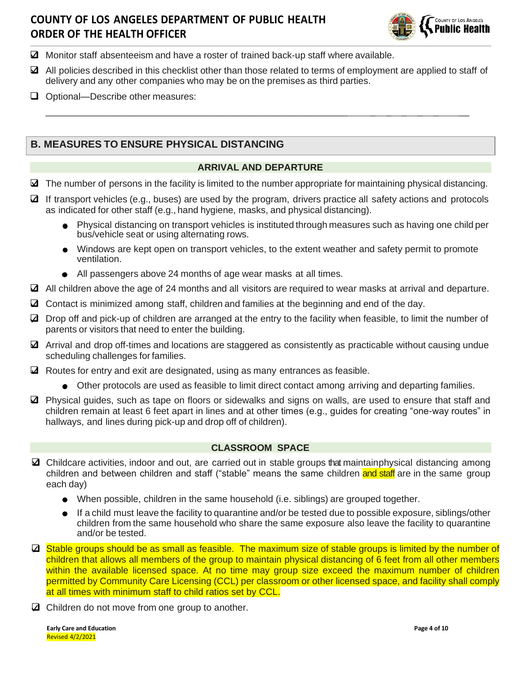

- ❑ Monitor staff absenteeism and have a roster of trained back-up staff where available.
- ❑ All policies described in this checklist other than those related to terms of employment are applied to staff of delivery and any other companies who may be on the premises as third parties.

\_\_\_\_\_\_\_\_\_\_\_\_\_\_\_\_\_\_\_\_\_\_\_\_\_\_\_\_\_\_\_\_\_\_\_\_\_\_\_\_\_\_\_\_\_\_\_\_\_\_\_\_\_\_\_\_\_\_ \_ \_ \_ \_ \_ \_\_

❑ Optional—Describe other measures:

## **B. MEASURES TO ENSURE PHYSICAL DISTANCING**

#### **ARRIVAL AND DEPARTURE**

- $\boxtimes$  The number of persons in the facility is limited to the number appropriate for maintaining physical distancing.
- ❑ If transport vehicles (e.g., buses) are used by the program, drivers practice all safety actions and protocols as indicated for other staff (e.g., hand hygiene, masks, and physical distancing).
	- Physical distancing on transport vehicles is instituted through measures such as having one child per bus/vehicle seat or using alternating rows.
	- $\bullet$  Windows are kept open on transport vehicles, to the extent weather and safety permit to promote ventilation.
	- o All passengers above 24 months of age wear masks at all times.
- ❑ All children above the age of 24 months and all visitors are required to wear masks at arrival and departure.
- ❑ Contact is minimized among staff, children and families at the beginning and end of the day.
- ❑ Drop off and pick-up of children are arranged at the entry to the facility when feasible, to limit the number of parents or visitors that need to enter the building.
- ❑ Arrival and drop off-times and locations are staggered as consistently as practicable without causing undue scheduling challenges for families.
- ❑ Routes for entry and exit are designated, using as many entrances as feasible.
	- $\bullet$  Other protocols are used as feasible to limit direct contact among arriving and departing families.
- ❑ Physical guides, such as tape on floors or sidewalks and signs on walls, are used to ensure that staff and children remain at least 6 feet apart in lines and at other times (e.g., guides for creating "one-way routes" in hallways, and lines during pick-up and drop off of children).

#### **CLASSROOM SPACE**

- ❑ Childcare activities, indoor and out, are carried out in stable groups that maintainphysical distancing among children and between children and staff ("stable" means the same children and staff are in the same group each day)
	- o When possible, children in the same household (i.e. siblings) are grouped together.
	- $\bullet$  If a child must leave the facility to quarantine and/or be tested due to possible exposure, siblings/other children from the same household who share the same exposure also leave the facility to quarantine and/or be tested.
- ❑ Stable groups should be as small as feasible. The maximum size of stable groups is limited by the number of children that allows all members of the group to maintain physical distancing of 6 feet from all other members within the available licensed space. At no time may group size exceed the maximum number of children permitted by Community Care Licensing (CCL) per classroom or other licensed space, and facility shall comply at all times with minimum staff to child ratios set by CCL.
- ❑ Children do not move from one group to another.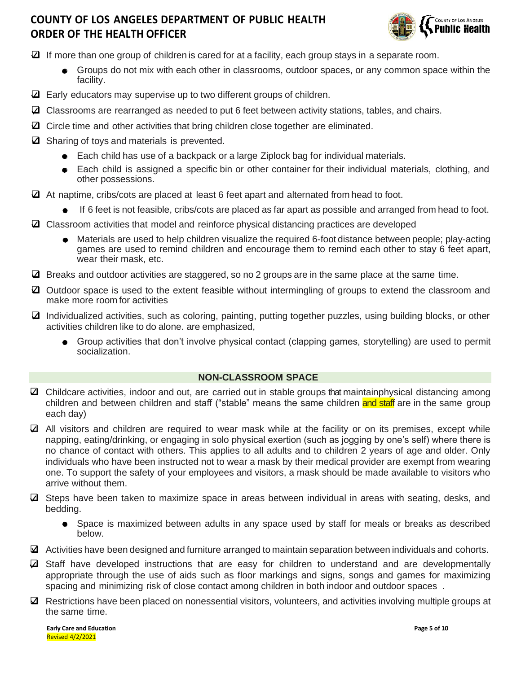

- $\Box$  If more than one group of children is cared for at a facility, each group stays in a separate room.
	- Groups do not mix with each other in classrooms, outdoor spaces, or any common space within the facility.
- $\Box$  Early educators may supervise up to two different groups of children.
- ❑ Classrooms are rearranged as needed to put 6 feet between activity stations, tables, and chairs.
- ❑ Circle time and other activities that bring children close together are eliminated.
- ❑ Sharing of toys and materials is prevented.
	- o Each child has use of a backpack or a large Ziplock bag for individual materials.
	- o Each child is assigned a specific bin or other container for their individual materials, clothing, and other possessions.
- ❑ At naptime, cribs/cots are placed at least 6 feet apart and alternated from head to foot.
	- If 6 feet is not feasible, cribs/cots are placed as far apart as possible and arranged from head to foot.
- ❑ Classroom activities that model and reinforce physical distancing practices are developed
	- o Materials are used to help children visualize the required 6-foot distance between people; play-acting games are used to remind children and encourage them to remind each other to stay 6 feet apart, wear their mask, etc.
- $\Box$  Breaks and outdoor activities are staggered, so no 2 groups are in the same place at the same time.
- ❑ Outdoor space is used to the extent feasible without intermingling of groups to extend the classroom and make more room for activities
- ❑ Individualized activities, such as coloring, painting, putting together puzzles, using building blocks, or other activities children like to do alone. are emphasized,
	- Group activities that don't involve physical contact (clapping games, storytelling) are used to permit socialization.

## **NON-CLASSROOM SPACE**

- ❑ Childcare activities, indoor and out, are carried out in stable groups that maintainphysical distancing among children and between children and staff ("stable" means the same children and staff are in the same group each day)
- ❑ All visitors and children are required to wear mask while at the facility or on its premises, except while napping, eating/drinking, or engaging in solo physical exertion (such as jogging by one's self) where there is no chance of contact with others. This applies to all adults and to children 2 years of age and older. Only individuals who have been instructed not to wear a mask by their medical provider are exempt from wearing one. To support the safety of your employees and visitors, a mask should be made available to visitors who arrive without them.
- ❑ Steps have been taken to maximize space in areas between individual in areas with seating, desks, and bedding.
	- o Space is maximized between adults in any space used by staff for meals or breaks as described below.
- ❑ Activities have been designed and furniture arranged to maintain separation between individuals and cohorts.
- ❑ Staff have developed instructions that are easy for children to understand and are developmentally appropriate through the use of aids such as floor markings and signs, songs and games for maximizing spacing and minimizing risk of close contact among children in both indoor and outdoor spaces .
- ❑ Restrictions have been placed on nonessential visitors, volunteers, and activities involving multiple groups at the same time.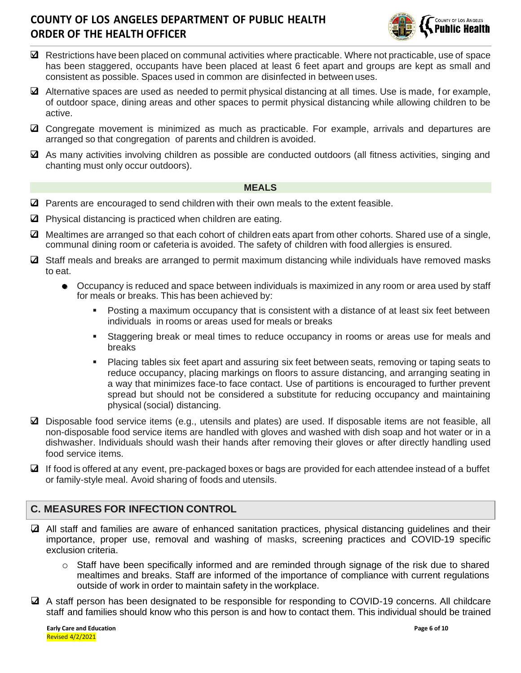

- ❑ Restrictions have been placed on communal activities where practicable. Where not practicable, use of space has been staggered, occupants have been placed at least 6 feet apart and groups are kept as small and consistent as possible. Spaces used in common are disinfected in between uses.
- ❑ Alternative spaces are used as needed to permit physical distancing at all times. Use is made, f or example, of outdoor space, dining areas and other spaces to permit physical distancing while allowing children to be active.
- ❑ Congregate movement is minimized as much as practicable. For example, arrivals and departures are arranged so that congregation of parents and children is avoided.
- ❑ As many activities involving children as possible are conducted outdoors (all fitness activities, singing and chanting must only occur outdoors).

#### **MEALS**

- ❑ Parents are encouraged to send children with their own meals to the extent feasible.
- ❑ Physical distancing is practiced when children are eating.
- ❑ Mealtimes are arranged so that each cohort of children eats apart from other cohorts. Shared use of a single, communal dining room or cafeteria is avoided. The safety of children with food allergies is ensured.
- ❑ Staff meals and breaks are arranged to permit maximum distancing while individuals have removed masks to eat.
	- Occupancy is reduced and space between individuals is maximized in any room or area used by staff for meals or breaks. This has been achieved by:
		- Posting a maximum occupancy that is consistent with a distance of at least six feet between individuals in rooms or areas used for meals or breaks
		- **EXECUTE:** Staggering break or meal times to reduce occupancy in rooms or areas use for meals and breaks
		- Placing tables six feet apart and assuring six feet between seats, removing or taping seats to reduce occupancy, placing markings on floors to assure distancing, and arranging seating in a way that minimizes face-to face contact. Use of partitions is encouraged to further prevent spread but should not be considered a substitute for reducing occupancy and maintaining physical (social) distancing.
- ❑ Disposable food service items (e.g., utensils and plates) are used. If disposable items are not feasible, all non-disposable food service items are handled with gloves and washed with dish soap and hot water or in a dishwasher. Individuals should wash their hands after removing their gloves or after directly handling used food service items.
- ❑ If food is offered at any event, pre-packaged boxes or bags are provided for each attendee instead of a buffet or family-style meal. Avoid sharing of foods and utensils.

## **C. MEASURES FOR INFECTION CONTROL**

- ❑ All staff and families are aware of enhanced sanitation practices, physical distancing guidelines and their importance, proper use, removal and washing of masks, screening practices and COVID-19 specific exclusion criteria.
	- o Staff have been specifically informed and are reminded through signage of the risk due to shared mealtimes and breaks. Staff are informed of the importance of compliance with current regulations outside of work in order to maintain safety in the workplace.
- ❑ A staff person has been designated to be responsible for responding to COVID-19 concerns. All childcare staff and families should know who this person is and how to contact them. This individual should be trained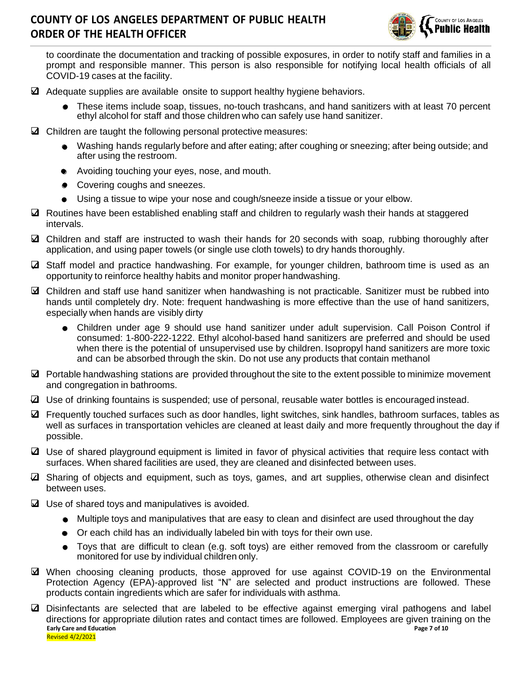

to coordinate the documentation and tracking of possible exposures, in order to notify staff and families in a prompt and responsible manner. This person is also responsible for notifying local health officials of all COVID-19 cases at the facility.

- $\mathbf{\Omega}$  Adequate supplies are available onsite to support healthy hygiene behaviors.
	- These items include soap, tissues, no-touch trashcans, and hand sanitizers with at least 70 percent ethyl alcohol for staff and those children who can safely use hand sanitizer.
- ❑ Children are taught the following personal protective measures:
	- o Washing hands regularly before and after eating; after coughing or sneezing; after being outside; and after using the restroom.
	- o Avoiding touching your eyes, nose, and mouth.
	- Covering coughs and sneezes.
	- Using a tissue to wipe your nose and cough/sneeze inside a tissue or your elbow.
- ❑ Routines have been established enabling staff and children to regularly wash their hands at staggered intervals.
- ❑ Children and staff are instructed to wash their hands for 20 seconds with soap, rubbing thoroughly after application, and using paper towels (or single use cloth towels) to dry hands thoroughly.
- ❑ Staff model and practice handwashing. For example, for younger children, bathroom time is used as an opportunity to reinforce healthy habits and monitor proper handwashing.
- ❑ Children and staff use hand sanitizer when handwashing is not practicable. Sanitizer must be rubbed into hands until completely dry. Note: frequent handwashing is more effective than the use of hand sanitizers, especially when hands are visibly dirty
	- o Children under age 9 should use hand sanitizer under adult supervision. Call Poison Control if consumed: 1-800-222-1222. Ethyl alcohol-based hand sanitizers are preferred and should be used when there is the potential of unsupervised use by children. Isopropyl hand sanitizers are more toxic and can be absorbed through the skin. Do not use any products that contain methanol
- $\Delta$  Portable handwashing stations are provided throughout the site to the extent possible to minimize movement and congregation in bathrooms.
- ❑ Use of drinking fountains is suspended; use of personal, reusable water bottles is encouraged instead.
- ❑ Frequently touched surfaces such as door handles, light switches, sink handles, bathroom surfaces, tables as well as surfaces in transportation vehicles are cleaned at least daily and more frequently throughout the day if possible.
- ❑ Use of shared playground equipment is limited in favor of physical activities that require less contact with surfaces. When shared facilities are used, they are cleaned and disinfected between uses.
- ❑ Sharing of objects and equipment, such as toys, games, and art supplies, otherwise clean and disinfect between uses.
- ❑ Use of shared toys and manipulatives is avoided.
	- o Multiple toys and manipulatives that are easy to clean and disinfect are used throughout the day
	- Or each child has an individually labeled bin with toys for their own use.
	- Toys that are difficult to clean (e.g. soft toys) are either removed from the classroom or carefully monitored for use by individual children only.
- ❑ When choosing cleaning products, those approved for use against COVID-19 on the Environmental Protection Agency (EPA)-approved list "N" are selected and product instructions are followed. These products contain ingredients which are safer for individuals with asthma.
- **Early Care and Education Page 7 of 10** Revised 4/2/2021 ❑ Disinfectants are selected that are labeled to be effective against emerging viral pathogens and label directions for appropriate dilution rates and contact times are followed. Employees are given training on the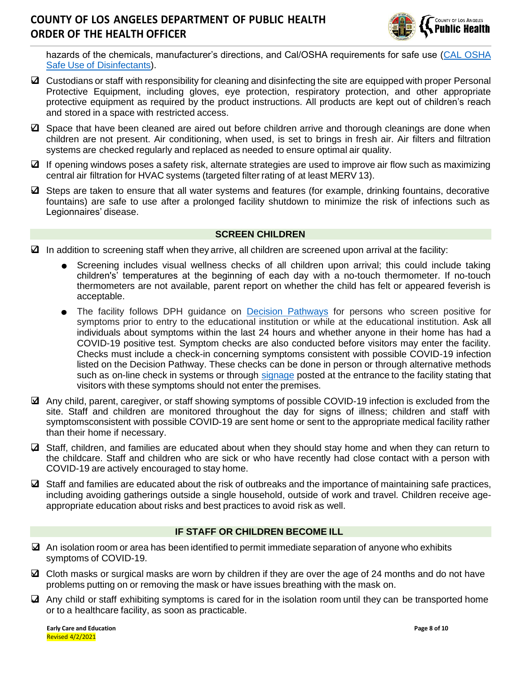

hazards of the chemicals, manufacturer's directions, and Cal/OSHA requirements for safe use [\(CAL OSHA](https://www.dir.ca.gov/dosh/Coronavirus/COVID-19-Infection-Prevention-in-Grocery-Stores.pdf?eType=EmailBlastContent&eId=77f0ecd5-92cc-447a-9968-e0a061eac2ef) Safe Use of [Disinfectants\)](https://www.dir.ca.gov/dosh/Coronavirus/COVID-19-Infection-Prevention-in-Grocery-Stores.pdf?eType=EmailBlastContent&eId=77f0ecd5-92cc-447a-9968-e0a061eac2ef).

- $\Box$  Custodians or staff with responsibility for cleaning and disinfecting the site are equipped with proper Personal Protective Equipment, including gloves, eye protection, respiratory protection, and other appropriate protective equipment as required by the product instructions. All products are kept out of children's reach and stored in a space with restricted access.
- ❑ Space that have been cleaned are aired out before children arrive and thorough cleanings are done when children are not present. Air conditioning, when used, is set to brings in fresh air. Air filters and filtration systems are checked regularly and replaced as needed to ensure optimal air quality.
- ❑ If opening windows poses a safety risk, alternate strategies are used to improve air flow such as maximizing central air filtration for HVAC systems (targeted filter rating of at least MERV 13).
- ❑ Steps are taken to ensure that all water systems and features (for example, drinking fountains, decorative fountains) are safe to use after a prolonged facility shutdown to minimize the risk of infections such as Legionnaires' disease.

## **SCREEN CHILDREN**

- $\Box$  In addition to screening staff when they arrive, all children are screened upon arrival at the facility:
	- Screening includes visual wellness checks of all children upon arrival; this could include taking children's' temperatures at the beginning of each day with a no-touch thermometer. If no-touch thermometers are not available, parent report on whether the child has felt or appeared feverish is acceptable.
	- The facility follows DPH guidance on [Decision Pathways](http://publichealth.lacounty.gov/media/Coronavirus/docs/education/ScreeningEducationSettings.pdf) for persons who screen positive for symptoms prior to entry to the educational institution or while at the educational institution. Ask all individuals about symptoms within the last 24 hours and whether anyone in their home has had a COVID-19 positive test. Symptom checks are also conducted before visitors may enter the facility. Checks must include a check-in concerning symptoms consistent with possible COVID-19 infection listed on the Decision Pathway. These checks can be done in person or through alternative methods such as on-line check in systems or through [signage](http://publichealth.lacounty.gov/media/Coronavirus/docs/business/NoticeToCustomers.pdf) posted at the entrance to the facility stating that visitors with these symptoms should not enter the premises.
- ❑ Any child, parent, caregiver, or staff showing symptoms of possible COVID-19 infection is excluded from the site. Staff and children are monitored throughout the day for signs of illness; children and staff with symptomsconsistent with possible COVID-19 are sent home or sent to the appropriate medical facility rather than their home if necessary.
- $\Box$  Staff, children, and families are educated about when they should stay home and when they can return to the childcare. Staff and children who are sick or who have recently had close contact with a person with COVID-19 are actively encouraged to stay home.
- $\Box$  Staff and families are educated about the risk of outbreaks and the importance of maintaining safe practices, including avoiding gatherings outside a single household, outside of work and travel. Children receive ageappropriate education about risks and best practices to avoid risk as well.

## **IF STAFF OR CHILDREN BECOME ILL**

- $\boxtimes$  An isolation room or area has been identified to permit immediate separation of anyone who exhibits symptoms of COVID-19.
- $\Omega$  Cloth masks or surgical masks are worn by children if they are over the age of 24 months and do not have problems putting on or removing the mask or have issues breathing with the mask on.
- ❑ Any child or staff exhibiting symptoms is cared for in the isolation room until they can be transported home or to a healthcare facility, as soon as practicable.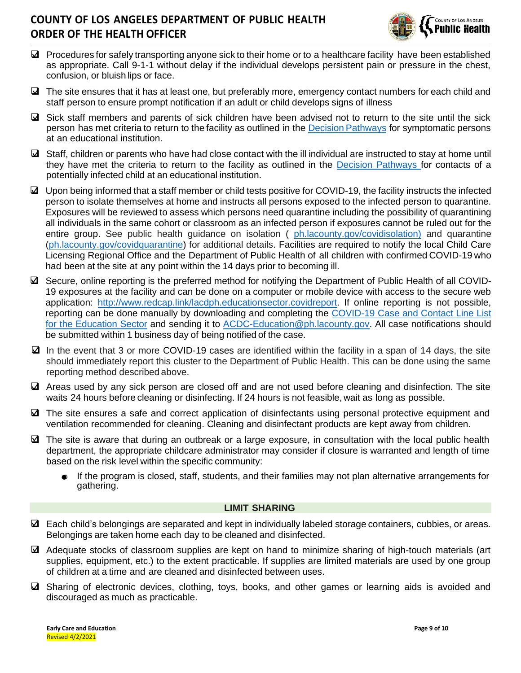

- $\Box$  Procedures for safely transporting anyone sick to their home or to a healthcare facility have been established as appropriate. Call 9-1-1 without delay if the individual develops persistent pain or pressure in the chest, confusion, or bluish lips or face.
- $\Box$  The site ensures that it has at least one, but preferably more, emergency contact numbers for each child and staff person to ensure prompt notification if an adult or child develops signs of illness
- ❑ Sick staff members and parents of sick children have been advised not to return to the site until the sick person has met criteria to return to the facility as outlined in the Decision [Pathways](http://publichealth.lacounty.gov/media/Coronavirus/docs/education/ScreeningEducationSettings.pdf) for symptomatic persons at an educational institution.
- ❑ Staff, children or parents who have had close contact with the ill individual are instructed to stay at home until they have met the criteria to return to the facility as outlined in the [Decision Pathways f](http://publichealth.lacounty.gov/media/Coronavirus/docs/education/ScreeningEducationSettings.pdf)or contacts of a potentially infected child at an educational institution.
- ❑ Upon being informed that a staff member or child tests positive for COVID-19, the facility instructs the infected person to isolate themselves at home and instructs all persons exposed to the infected person to quarantine. Exposures will be reviewed to assess which persons need quarantine including the possibility of quarantining all individuals in the same cohort or classroom as an infected person if exposures cannot be ruled out for the entire group. See public health guidance on isolation ( ph. lacounty.gov/covidisolation) and quarantine [\(ph.lacounty.gov/covidquarantine\)](http://publichealth.lacounty.gov/acd/ncorona2019/covidquarantine/) for additional details. Facilities are required to notify the local Child Care Licensing Regional Office and the Department of Public Health of all children with confirmed COVID-19 who had been at the site at any point within the 14 days prior to becoming ill.
- ❑ Secure, online reporting is the preferred method for notifying the Department of Public Health of all COVID-19 exposures at the facility and can be done on a computer or mobile device with access to the secure web application: [http://www.redcap.link/lacdph.educationsector.covidreport.](http://www.redcap.link/lacdph.educationsector.covidreport) If online reporting is not possible, reporting can be done manually by downloading and completing the [COVID-19 Case and Contact Line List](http://publichealth.lacounty.gov/acd/Diseases/EpiForms/COVID_OBlinelist_Education_Sector.xlsm) [for the Education Sector](http://publichealth.lacounty.gov/acd/Diseases/EpiForms/COVID_OBlinelist_Education_Sector.xlsm) and sending it to [ACDC-Education@ph.lacounty.gov.](mailto:ACDC-Education@ph.lacounty.gov) All case notifications should be submitted within 1 business day of being notified of the case.
- ❑ In the event that 3 or more COVID-19 cases are identified within the facility in a span of 14 days, the site should immediately report this cluster to the Department of Public Health. This can be done using the same reporting method described above.
- ❑ Areas used by any sick person are closed off and are not used before cleaning and disinfection. The site waits 24 hours before cleaning or disinfecting. If 24 hours is not feasible, wait as long as possible.
- ❑ The site ensures a safe and correct application of disinfectants using personal protective equipment and ventilation recommended for cleaning. Cleaning and disinfectant products are kept away from children.
- ❑ The site is aware that during an outbreak or a large exposure, in consultation with the local public health department, the appropriate childcare administrator may consider if closure is warranted and length of time based on the risk level within the specific community:
	- If the program is closed, staff, students, and their families may not plan alternative arrangements for gathering.

## **LIMIT SHARING**

- $\boxtimes$  Each child's belongings are separated and kept in individually labeled storage containers, cubbies, or areas. Belongings are taken home each day to be cleaned and disinfected.
- ❑ Adequate stocks of classroom supplies are kept on hand to minimize sharing of high-touch materials (art supplies, equipment, etc.) to the extent practicable. If supplies are limited materials are used by one group of children at a time and are cleaned and disinfected between uses.
- ❑ Sharing of electronic devices, clothing, toys, books, and other games or learning aids is avoided and discouraged as much as practicable.